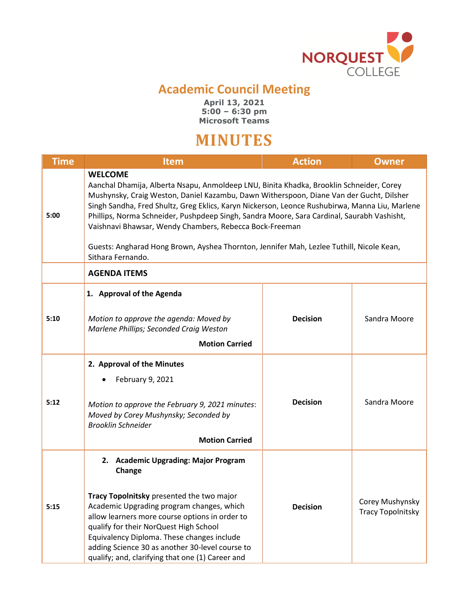

## **Academic Council Meeting**

**April 13, 2021 5:00 – 6:30 pm Microsoft Teams**

## **MINUTES**

| <b>Time</b> | <b>Item</b>                                                                                                                                                                                                                                                                                                                                                                                                                                                                                                                                                                      | <b>Action</b>   | <b>Owner</b>                                |  |  |
|-------------|----------------------------------------------------------------------------------------------------------------------------------------------------------------------------------------------------------------------------------------------------------------------------------------------------------------------------------------------------------------------------------------------------------------------------------------------------------------------------------------------------------------------------------------------------------------------------------|-----------------|---------------------------------------------|--|--|
| 5:00        | <b>WELCOME</b><br>Aanchal Dhamija, Alberta Nsapu, Anmoldeep LNU, Binita Khadka, Brooklin Schneider, Corey<br>Mushynsky, Craig Weston, Daniel Kazambu, Dawn Witherspoon, Diane Van der Gucht, Dilsher<br>Singh Sandha, Fred Shultz, Greg Eklics, Karyn Nickerson, Leonce Rushubirwa, Manna Liu, Marlene<br>Phillips, Norma Schneider, Pushpdeep Singh, Sandra Moore, Sara Cardinal, Saurabh Vashisht,<br>Vaishnavi Bhawsar, Wendy Chambers, Rebecca Bock-Freeman<br>Guests: Angharad Hong Brown, Ayshea Thornton, Jennifer Mah, Lezlee Tuthill, Nicole Kean,<br>Sithara Fernando. |                 |                                             |  |  |
|             | <b>AGENDA ITEMS</b>                                                                                                                                                                                                                                                                                                                                                                                                                                                                                                                                                              |                 |                                             |  |  |
| 5:10        | 1. Approval of the Agenda<br>Motion to approve the agenda: Moved by<br>Marlene Phillips; Seconded Craig Weston<br><b>Motion Carried</b>                                                                                                                                                                                                                                                                                                                                                                                                                                          | <b>Decision</b> | Sandra Moore                                |  |  |
| 5:12        | 2. Approval of the Minutes<br>February 9, 2021<br>Motion to approve the February 9, 2021 minutes:<br>Moved by Corey Mushynsky; Seconded by<br><b>Brooklin Schneider</b><br><b>Motion Carried</b>                                                                                                                                                                                                                                                                                                                                                                                 | <b>Decision</b> | Sandra Moore                                |  |  |
| 5:15        | 2. Academic Upgrading: Major Program<br>Change<br>Tracy Topolnitsky presented the two major<br>Academic Upgrading program changes, which<br>allow learners more course options in order to<br>qualify for their NorQuest High School<br>Equivalency Diploma. These changes include<br>adding Science 30 as another 30-level course to<br>qualify; and, clarifying that one (1) Career and                                                                                                                                                                                        | <b>Decision</b> | Corey Mushynsky<br><b>Tracy Topolnitsky</b> |  |  |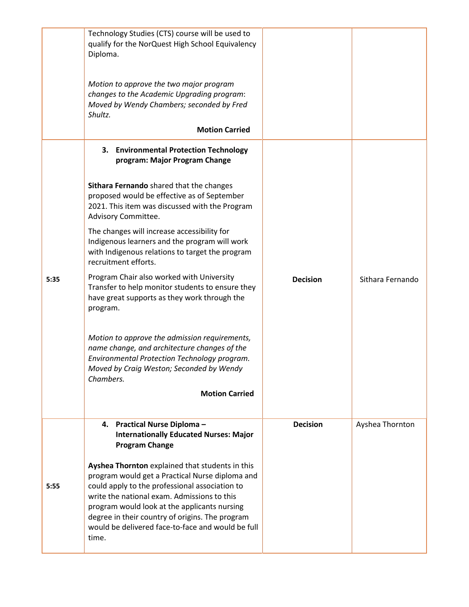|      | Technology Studies (CTS) course will be used to<br>qualify for the NorQuest High School Equivalency<br>Diploma.<br>Motion to approve the two major program<br>changes to the Academic Upgrading program:<br>Moved by Wendy Chambers; seconded by Fred<br>Shultz.<br><b>Motion Carried</b>                                                                            |                 |                  |
|------|----------------------------------------------------------------------------------------------------------------------------------------------------------------------------------------------------------------------------------------------------------------------------------------------------------------------------------------------------------------------|-----------------|------------------|
|      | 3.<br><b>Environmental Protection Technology</b><br>program: Major Program Change                                                                                                                                                                                                                                                                                    |                 |                  |
|      | Sithara Fernando shared that the changes<br>proposed would be effective as of September<br>2021. This item was discussed with the Program<br>Advisory Committee.                                                                                                                                                                                                     |                 |                  |
|      | The changes will increase accessibility for<br>Indigenous learners and the program will work<br>with Indigenous relations to target the program<br>recruitment efforts.                                                                                                                                                                                              |                 |                  |
| 5:35 | Program Chair also worked with University<br>Transfer to help monitor students to ensure they<br>have great supports as they work through the<br>program.                                                                                                                                                                                                            | <b>Decision</b> | Sithara Fernando |
|      | Motion to approve the admission requirements,<br>name change, and architecture changes of the<br>Environmental Protection Technology program.<br>Moved by Craig Weston; Seconded by Wendy<br>Chambers.                                                                                                                                                               |                 |                  |
|      | <b>Motion Carried</b>                                                                                                                                                                                                                                                                                                                                                |                 |                  |
|      | <b>Practical Nurse Diploma-</b><br>4.<br><b>Internationally Educated Nurses: Major</b><br><b>Program Change</b>                                                                                                                                                                                                                                                      | <b>Decision</b> | Ayshea Thornton  |
| 5:55 | Ayshea Thornton explained that students in this<br>program would get a Practical Nurse diploma and<br>could apply to the professional association to<br>write the national exam. Admissions to this<br>program would look at the applicants nursing<br>degree in their country of origins. The program<br>would be delivered face-to-face and would be full<br>time. |                 |                  |